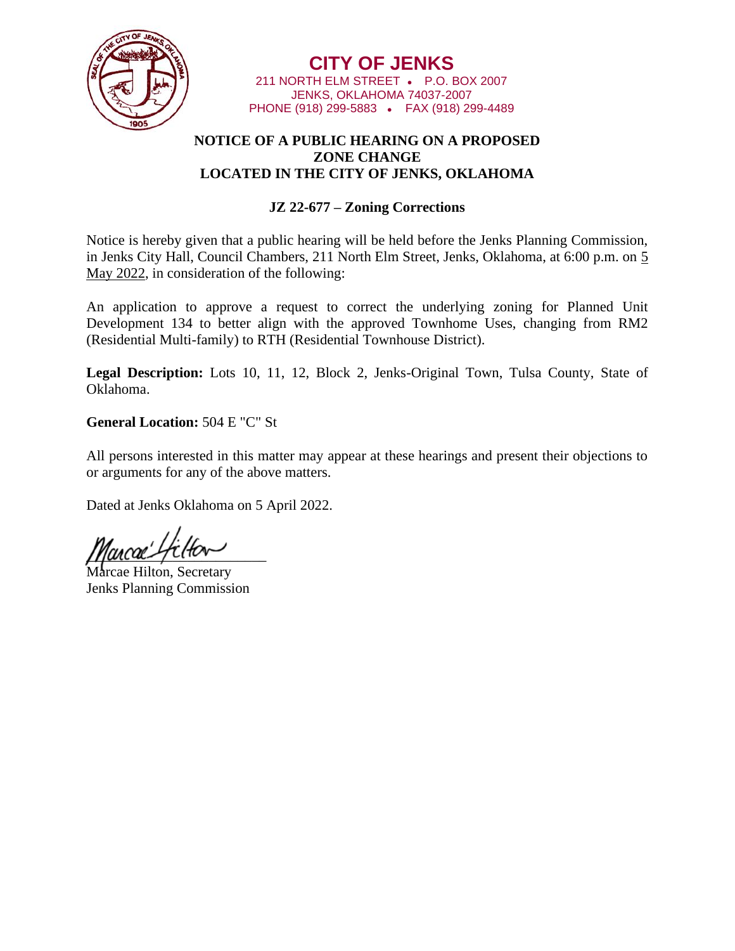

**CITY OF JENKS** 211 NORTH ELM STREET • P.O. BOX 2007 JENKS, OKLAHOMA 74037-2007 PHONE (918) 299-5883 • FAX (918) 299-4489

## **NOTICE OF A PUBLIC HEARING ON A PROPOSED ZONE CHANGE LOCATED IN THE CITY OF JENKS, OKLAHOMA**

## **JZ 22-677 – Zoning Corrections**

Notice is hereby given that a public hearing will be held before the Jenks Planning Commission, in Jenks City Hall, Council Chambers, 211 North Elm Street, Jenks, Oklahoma, at 6:00 p.m. on 5 May 2022, in consideration of the following:

An application to approve a request to correct the underlying zoning for Planned Unit Development 134 to better align with the approved Townhome Uses, changing from RM2 (Residential Multi-family) to RTH (Residential Townhouse District).

**Legal Description:** Lots 10, 11, 12, Block 2, Jenks-Original Town, Tulsa County, State of Oklahoma.

**General Location:** 504 E "C" St

All persons interested in this matter may appear at these hearings and present their objections to or arguments for any of the above matters.

Dated at Jenks Oklahoma on 5 April 2022.

 $\mu$ ancae spinter

e Hilton, Secretary Jenks Planning Commission